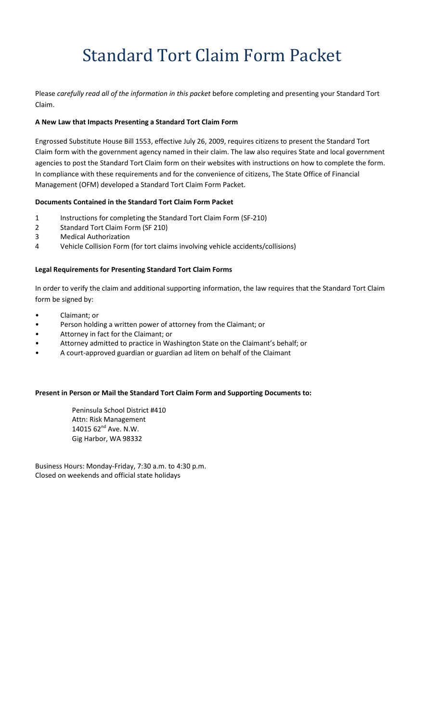# Standard Tort Claim Form Packet

Please *carefully read all of the information in this packet* before completing and presenting your Standard Tort Claim.

#### **A New Law that Impacts Presenting a Standard Tort Claim Form**

Engrossed Substitute House Bill 1553, effective July 26, 2009, requires citizens to present the Standard Tort Claim form with the government agency named in their claim. The law also requires State and local government agencies to post the Standard Tort Claim form on their websites with instructions on how to complete the form. In compliance with these requirements and for the convenience of citizens, The State Office of Financial Management (OFM) developed a Standard Tort Claim Form Packet.

#### **Documents Contained in the Standard Tort Claim Form Packet**

- 1 Instructions for completing the Standard Tort Claim Form (SF-210)
- 2 Standard Tort Claim Form (SF 210)
- 3 Medical Authorization
- 4 Vehicle Collision Form (for tort claims involving vehicle accidents/collisions)

#### **Legal Requirements for Presenting Standard Tort Claim Forms**

In order to verify the claim and additional supporting information, the law requires that the Standard Tort Claim form be signed by:

- Claimant; or
- Person holding a written power of attorney from the Claimant; or
- Attorney in fact for the Claimant; or
- Attorney admitted to practice in Washington State on the Claimant's behalf; or
- A court‐approved guardian or guardian ad litem on behalf of the Claimant

#### **Present in Person or Mail the Standard Tort Claim Form and Supporting Documents to:**

Peninsula School District #410 Attn: Risk Management 14015 62<sup>nd</sup> Ave. N.W. Gig Harbor, WA 98332

Business Hours: Monday‐Friday, 7:30 a.m. to 4:30 p.m. Closed on weekends and official state holidays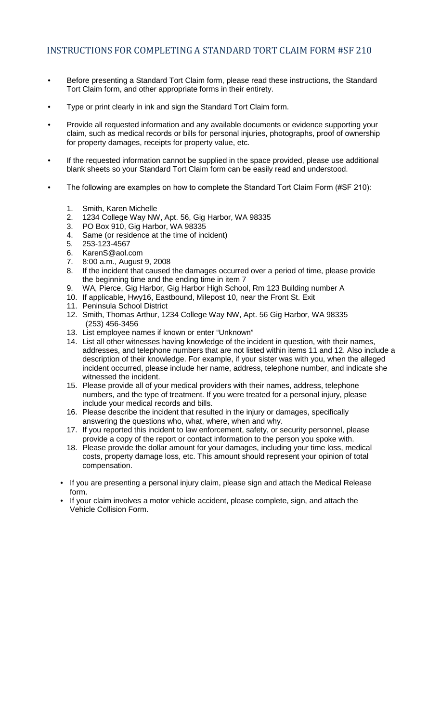- Before presenting a Standard Tort Claim form, please read these instructions, the Standard Tort Claim form, and other appropriate forms in their entirety.
- Type or print clearly in ink and sign the Standard Tort Claim form.
- Provide all requested information and any available documents or evidence supporting your claim, such as medical records or bills for personal injuries, photographs, proof of ownership for property damages, receipts for property value, etc.
- If the requested information cannot be supplied in the space provided, please use additional blank sheets so your Standard Tort Claim form can be easily read and understood.
- The following are examples on how to complete the Standard Tort Claim Form (#SF 210):
	- 1. Smith, Karen Michelle
	- 2. 1234 College Way NW, Apt. 56, Gig Harbor, WA 98335
	- 3. PO Box 910, Gig Harbor, WA 98335
	- 4. Same (or residence at the time of incident)
	- 5. 253-123-4567
	- 6. KarenS@aol.com
	- 7. 8:00 a.m., August 9, 2008
	- If the incident that caused the damages occurred over a period of time, please provide the beginning time and the ending time in item 7
	- 9. WA, Pierce, Gig Harbor, Gig Harbor High School, Rm 123 Building number A
	- 10. If applicable, Hwy16, Eastbound, Milepost 10, near the Front St. Exit
	- 11. Peninsula School District
	- 12. Smith, Thomas Arthur, 1234 College Way NW, Apt. 56 Gig Harbor, WA 98335 (253) 456-3456
	- 13. List employee names if known or enter "Unknown"
	- 14. List all other witnesses having knowledge of the incident in question, with their names, addresses, and telephone numbers that are not listed within items 11 and 12. Also include a description of their knowledge. For example, if your sister was with you, when the alleged incident occurred, please include her name, address, telephone number, and indicate she witnessed the incident.
	- 15. Please provide all of your medical providers with their names, address, telephone numbers, and the type of treatment. If you were treated for a personal injury, please include your medical records and bills.
	- 16. Please describe the incident that resulted in the injury or damages, specifically answering the questions who, what, where, when and why.
	- 17. If you reported this incident to law enforcement, safety, or security personnel, please provide a copy of the report or contact information to the person you spoke with.
	- 18. Please provide the dollar amount for your damages, including your time loss, medical costs, property damage loss, etc. This amount should represent your opinion of total compensation.
	- If you are presenting a personal injury claim, please sign and attach the Medical Release form.
	- If your claim involves a motor vehicle accident, please complete, sign, and attach the Vehicle Collision Form.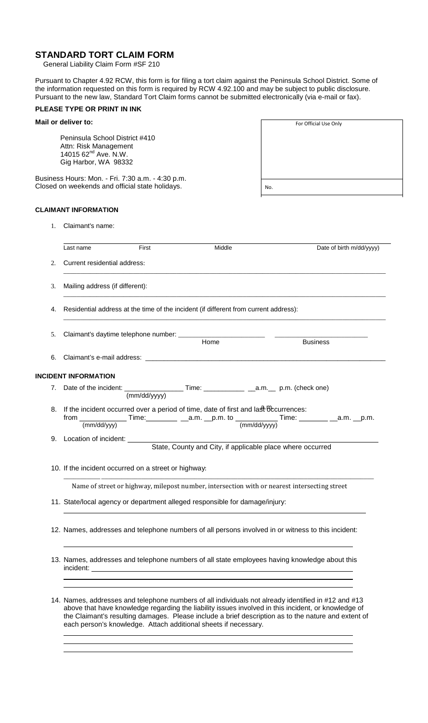### **STANDARD TORT CLAIM FORM**

General Liability Claim Form #SF 210

Pursuant to Chapter 4.92 RCW, this form is for filing a tort claim against the Peninsula School District. Some of the information requested on this form is required by RCW 4.92.100 and may be subject to public disclosure. Pursuant to the new law, Standard Tort Claim forms cannot be submitted electronically (via e-mail or fax).

#### **PLEASE TYPE OR PRINT IN INK**

| Mail or deliver to:                                                                                                 | For Official Use Only |
|---------------------------------------------------------------------------------------------------------------------|-----------------------|
| Peninsula School District #410<br>Attn: Risk Management<br>14015 62 <sup>nd</sup> Ave. N.W.<br>Gig Harbor, WA 98332 |                       |
| Business Hours: Mon. - Fri. 7:30 a.m. - 4:30 p.m.<br>Closed on weekends and official state holidays.                | No.                   |

#### **CLAIMANT INFORMATION**

1. Claimant's name:

incident:

|    | Last name                                                                                          | First | Middle                                                                                                                                                                                                                         |                 | Date of birth m/dd/yyyy) |  |  |
|----|----------------------------------------------------------------------------------------------------|-------|--------------------------------------------------------------------------------------------------------------------------------------------------------------------------------------------------------------------------------|-----------------|--------------------------|--|--|
| 2. | Current residential address:                                                                       |       |                                                                                                                                                                                                                                |                 |                          |  |  |
| 3. | Mailing address (if different):                                                                    |       |                                                                                                                                                                                                                                |                 |                          |  |  |
| 4. | Residential address at the time of the incident (if different from current address):               |       |                                                                                                                                                                                                                                |                 |                          |  |  |
| 5. |                                                                                                    |       | Home                                                                                                                                                                                                                           | <b>Business</b> |                          |  |  |
| 6. |                                                                                                    |       | Claimant's e-mail address: example and the state of the state of the state of the state of the state of the state of the state of the state of the state of the state of the state of the state of the state of the state of t |                 |                          |  |  |
|    | <b>INCIDENT INFORMATION</b>                                                                        |       |                                                                                                                                                                                                                                |                 |                          |  |  |
| 7. |                                                                                                    |       |                                                                                                                                                                                                                                |                 |                          |  |  |
| 8. | from<br>(mm/dd/vvv)                                                                                |       | If the incident occurred over a period of time, date of first and last becurrences:                                                                                                                                            |                 |                          |  |  |
| 9. |                                                                                                    |       |                                                                                                                                                                                                                                |                 |                          |  |  |
|    | 10. If the incident occurred on a street or highway:                                               |       |                                                                                                                                                                                                                                |                 |                          |  |  |
|    | Name of street or highway, milepost number, intersection with or nearest intersecting street       |       |                                                                                                                                                                                                                                |                 |                          |  |  |
|    |                                                                                                    |       | 11. State/local agency or department alleged responsible for damage/injury:                                                                                                                                                    |                 |                          |  |  |
|    | 12. Names, addresses and telephone numbers of all persons involved in or witness to this incident: |       |                                                                                                                                                                                                                                |                 |                          |  |  |

14. Names, addresses and telephone numbers of all individuals not already identified in #12 and #13 above that have knowledge regarding the liability issues involved in this incident, or knowledge of the Claimant's resulting damages. Please include a brief description as to the nature and extent of each person's knowledge. Attach additional sheets if necessary.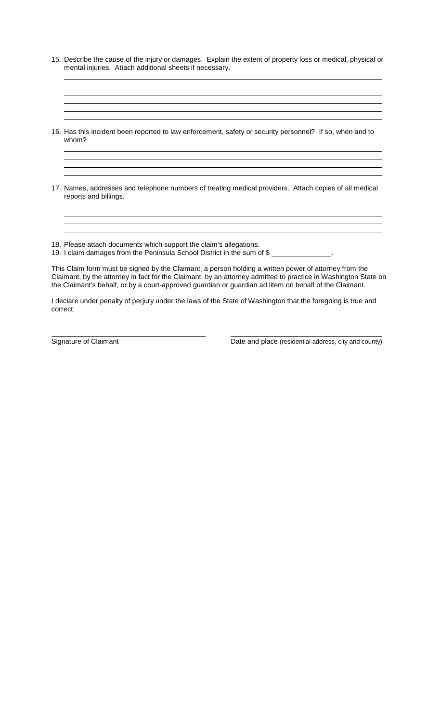- 15. Describe the cause of the injury or damages. Explain the extent of property loss or medical, physical or mental injuries. Attach additional sheets if necessary.
- 16. Has this incident been reported to law enforcement, safety or security personnel? If so, when and to whom?
- 17. Names, addresses and telephone numbers of treating medical providers. Attach copies of all medical reports and billings.

18. Please attach documents which support the claim's allegations.

19. I claim damages from the Peninsula School District in the sum of \$ .

This Claim form must be signed by the Claimant, a person holding a written power of attorney from the Claimant, by the attorney in fact for the Claimant, by an attorney admitted to practice in Washington State on the Claimant's behalf, or by a court-approved guardian or guardian ad litem on behalf of the Claimant.

I declare under penalty of perjury under the laws of the State of Washington that the foregoing is true and correct.

Signature of Claimant Date and place (residential address, city and county)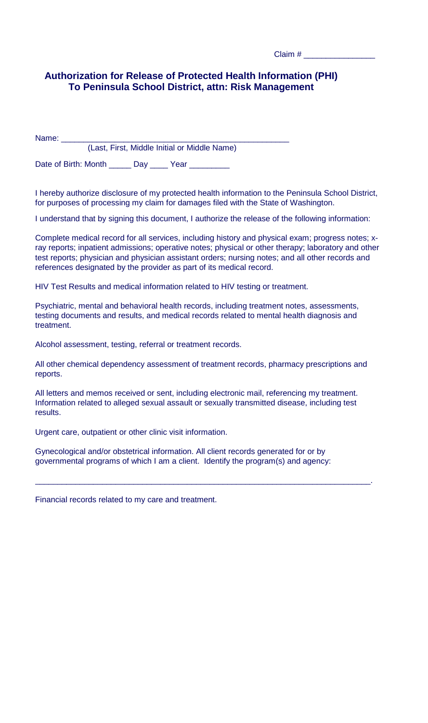| Claim # |  |
|---------|--|
|         |  |

## **Authorization for Release of Protected Health Information (PHI) To Peninsula School District, attn: Risk Management**

Name: \_\_\_\_\_\_\_\_\_\_\_\_\_\_\_\_\_\_\_\_\_\_\_\_\_\_\_\_\_\_\_\_\_\_\_\_\_\_\_\_\_\_\_\_\_\_\_\_\_\_\_ (Last, First, Middle Initial or Middle Name)

Date of Birth: Month \_\_\_\_\_\_\_ Day \_\_\_\_\_ Year \_

I hereby authorize disclosure of my protected health information to the Peninsula School District, for purposes of processing my claim for damages filed with the State of Washington.

I understand that by signing this document, I authorize the release of the following information:

Complete medical record for all services, including history and physical exam; progress notes; xray reports; inpatient admissions; operative notes; physical or other therapy; laboratory and other test reports; physician and physician assistant orders; nursing notes; and all other records and references designated by the provider as part of its medical record.

HIV Test Results and medical information related to HIV testing or treatment.

Psychiatric, mental and behavioral health records, including treatment notes, assessments, testing documents and results, and medical records related to mental health diagnosis and treatment.

Alcohol assessment, testing, referral or treatment records.

All other chemical dependency assessment of treatment records, pharmacy prescriptions and reports.

All letters and memos received or sent, including electronic mail, referencing my treatment. Information related to alleged sexual assault or sexually transmitted disease, including test results.

\_\_\_\_\_\_\_\_\_\_\_\_\_\_\_\_\_\_\_\_\_\_\_\_\_\_\_\_\_\_\_\_\_\_\_\_\_\_\_\_\_\_\_\_\_\_\_\_\_\_\_\_\_\_\_\_\_\_\_\_\_\_\_\_\_\_\_\_\_\_\_\_\_\_\_.

Urgent care, outpatient or other clinic visit information.

Gynecological and/or obstetrical information. All client records generated for or by governmental programs of which I am a client. Identify the program(s) and agency:

Financial records related to my care and treatment.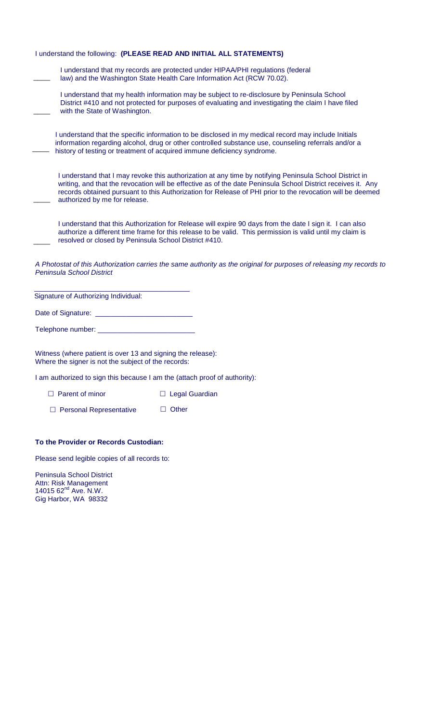| I understand the following: (PLEASE READ AND INITIAL ALL STATEMENTS)                                                                                                                                                                                                                                                                                                  |
|-----------------------------------------------------------------------------------------------------------------------------------------------------------------------------------------------------------------------------------------------------------------------------------------------------------------------------------------------------------------------|
| I understand that my records are protected under HIPAA/PHI regulations (federal<br>law) and the Washington State Health Care Information Act (RCW 70.02).                                                                                                                                                                                                             |
| I understand that my health information may be subject to re-disclosure by Peninsula School<br>District #410 and not protected for purposes of evaluating and investigating the claim I have filed<br>with the State of Washington.                                                                                                                                   |
| I understand that the specific information to be disclosed in my medical record may include Initials<br>information regarding alcohol, drug or other controlled substance use, counseling referrals and/or a<br>history of testing or treatment of acquired immune deficiency syndrome.                                                                               |
| I understand that I may revoke this authorization at any time by notifying Peninsula School District in<br>writing, and that the revocation will be effective as of the date Peninsula School District receives it. Any<br>records obtained pursuant to this Authorization for Release of PHI prior to the revocation will be deemed<br>authorized by me for release. |
| I understand that this Authorization for Release will expire 90 days from the date I sign it. I can also<br>authorize a different time frame for this release to be valid. This permission is valid until my claim is<br>resolved or closed by Peninsula School District #410.                                                                                        |
| A Photostat of this Authorization carries the same authority as the original for purposes of releasing my records to<br>Peninsula School District                                                                                                                                                                                                                     |
| Signature of Authorizing Individual:                                                                                                                                                                                                                                                                                                                                  |
|                                                                                                                                                                                                                                                                                                                                                                       |
| Telephone number: ________________________________                                                                                                                                                                                                                                                                                                                    |
|                                                                                                                                                                                                                                                                                                                                                                       |

Witness (where patient is over 13 and signing the release): Where the signer is not the subject of the records:

I am authorized to sign this because I am the (attach proof of authority):

□ Parent of minor □ Legal Guardian

 $\Box$  Personal Representative  $\Box$  Other

#### **To the Provider or Records Custodian:**

Please send legible copies of all records to:

Peninsula School District Attn: Risk Management 14015 62<sup>nd</sup> Ave. N.W. Gig Harbor, WA 98332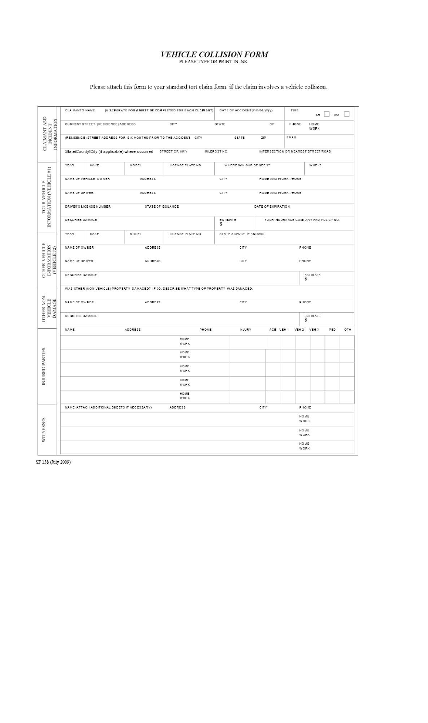## $\label{eq:VEHICLE} \begin{array}{ll} & \textit{VEHICLE}\ \textit{COLLISION FORM} \\ & \textit{Please type}\ \textit{of PRINT}\ \textit{INRK} \end{array}$

|                                                                                           | CLAIMANT'S NAME                                          |                                                                                                                          |                                                                      | (A SEPARATE FORM MUST BE COMPLETED FOR EACH CLAIMANT) DATE OF ACCIDENT(mm/dd/yyyy)           |                        |                     | TIME                                  | AM                  | PM  |     |
|-------------------------------------------------------------------------------------------|----------------------------------------------------------|--------------------------------------------------------------------------------------------------------------------------|----------------------------------------------------------------------|----------------------------------------------------------------------------------------------|------------------------|---------------------|---------------------------------------|---------------------|-----|-----|
| $\begin{array}{ll} \text{CLAMANT AND} \\ \text{NCDENT} \end{array}$<br><b>INFORMATION</b> |                                                          | CURRENT STREET (RESIDENCE) ADDRESS                                                                                       |                                                                      | CITY                                                                                         | STATE                  | ZIP                 | PHONE                                 | HOME<br><b>WORK</b> |     |     |
|                                                                                           |                                                          |                                                                                                                          | (RESIDENCE) STREET ADDRESS FOR SIX MONTHS PRIOR TO THE ACCIDENT CITY |                                                                                              | STATE                  | ZIP                 | EMAIL                                 |                     |     |     |
|                                                                                           |                                                          | State/County/City (if applicable) where occurred<br>STREET OR HWY<br>MILEPOST NO.<br>INTERSECTION OR NEAREST STREET/ROAD |                                                                      |                                                                                              |                        |                     |                                       |                     |     |     |
|                                                                                           | YEAR.                                                    | MAKE                                                                                                                     | MODEL                                                                | LICENSE PLATE NO.                                                                            | WHERE CAN CAR BE SEEN? |                     | WHEN?                                 |                     |     |     |
|                                                                                           |                                                          | NAME OF VEHICLE OWNER                                                                                                    | ADDRESS                                                              |                                                                                              | CITY                   | HOME AND WORK PHONE |                                       |                     |     |     |
| YOUR VEHICLE                                                                              | NAME OF DRIVER<br>ADDRESS<br>CITY<br>HOME AND WORK PHONE |                                                                                                                          |                                                                      |                                                                                              |                        |                     |                                       |                     |     |     |
| INFORMATION (VEHICLE #1)                                                                  |                                                          | DRIVER'S LICENSE NUMBER                                                                                                  | STATE OF ISSUANCE                                                    |                                                                                              |                        | DATE OF EXPIRATION  |                                       |                     |     |     |
|                                                                                           | DESCRIBE DAMAGE                                          |                                                                                                                          |                                                                      |                                                                                              | ESTIMATE<br>\$         |                     | YOUR INSURANCE COMPANY AND POLICY NO. |                     |     |     |
|                                                                                           | <b>YEAR</b>                                              | MAKE                                                                                                                     | MODEL                                                                | LICENSE PLATE NO.                                                                            | STATE AGENCY, IF KNOWN |                     |                                       |                     |     |     |
|                                                                                           | NAME OF OWNER                                            |                                                                                                                          | ADDRESS                                                              |                                                                                              | CITY                   |                     | PHONE                                 |                     |     |     |
| <b>OTHER VEHICLE</b><br>INFORMATION<br>(VEHICLE#2)                                        | NAME OF DRIVER<br>ADDRESS<br>CITY<br>PHONE               |                                                                                                                          |                                                                      |                                                                                              |                        |                     |                                       |                     |     |     |
|                                                                                           | DESCRIBE DAMAGE                                          |                                                                                                                          |                                                                      |                                                                                              |                        | ESTIMATE<br>\$      |                                       |                     |     |     |
|                                                                                           |                                                          |                                                                                                                          |                                                                      | WAS OTHER (NON-VEHICLE) PROPERTY DAMAGED? IF SO, DESCRIBE WHAT TYPE OF PROPERTY WAS DAMAGED. |                        |                     |                                       |                     |     |     |
| VEHICLE<br><b>DAMAGE</b>                                                                  | NAME OF OWNER<br>ADDRESS                                 |                                                                                                                          |                                                                      | CITY<br>PHONE                                                                                |                        |                     |                                       |                     |     |     |
| <b>OTHER NON-</b>                                                                         | DESCRIBE DAMAGE                                          |                                                                                                                          |                                                                      |                                                                                              | ESTIMATE<br>S          |                     |                                       |                     |     |     |
|                                                                                           | NAME                                                     |                                                                                                                          | ADDRESS                                                              | PHONE                                                                                        | INJURY                 | AGE VEH 1           | VEH <sub>2</sub>                      | VEH <sub>3</sub>    | PED | OTH |
|                                                                                           |                                                          |                                                                                                                          |                                                                      | HOME<br>WORK                                                                                 |                        |                     |                                       |                     |     |     |
|                                                                                           |                                                          |                                                                                                                          |                                                                      | HOME<br><b>WORK</b>                                                                          |                        |                     |                                       |                     |     |     |
| INJURED PARTIES                                                                           |                                                          |                                                                                                                          |                                                                      | HOME<br><b>WORK</b>                                                                          |                        |                     |                                       |                     |     |     |
|                                                                                           |                                                          |                                                                                                                          |                                                                      | HOME<br><b>WORK</b>                                                                          |                        |                     |                                       |                     |     |     |
|                                                                                           |                                                          |                                                                                                                          |                                                                      | HOME<br>WORK                                                                                 |                        |                     |                                       |                     |     |     |
| WITNESSES                                                                                 |                                                          |                                                                                                                          | NAME (ATTACH ADDITIONAL SHEETS IF NECESSARY)                         | ADDRESS                                                                                      |                        | CITY                | PHONE                                 |                     |     |     |
|                                                                                           |                                                          | HOME<br>WORK                                                                                                             |                                                                      |                                                                                              |                        |                     |                                       |                     |     |     |
|                                                                                           |                                                          |                                                                                                                          |                                                                      | HOME<br>WORK                                                                                 |                        |                     |                                       |                     |     |     |
|                                                                                           |                                                          |                                                                                                                          |                                                                      |                                                                                              |                        |                     | HOME<br>WORK                          |                     |     |     |

Please attach this form to your standard tort claim form, if the claim involves a vehicle collision.

SF 138 (July 2009)